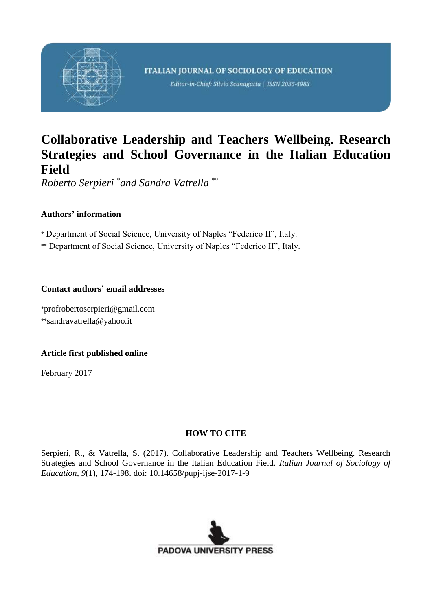

Editor-in-Chief: Silvio Scanagatta | ISSN 2035-4983

# **Collaborative Leadership and Teachers Wellbeing. Research Strategies and School Governance in the Italian Education Field**

*Roberto Serpieri* \**and Sandra Vatrella* \*\*

# **Authors' information**

\* Department of Social Science, University of Naples "Federico II", Italy.

\*\* Department of Social Science, University of Naples "Federico II", Italy.

# **Contact authors' email addresses**

\*profrobertoserpieri@gmail.com \*\*sandravatrella@yahoo.it

# **Article first published online**

February 2017

# **HOW TO CITE**

Serpieri, R., & Vatrella, S. (2017). Collaborative Leadership and Teachers Wellbeing. Research Strategies and School Governance in the Italian Education Field. *Italian Journal of Sociology of Education*, *9*(1), 174-198. doi: 10.14658/pupj-ijse-2017-1-9

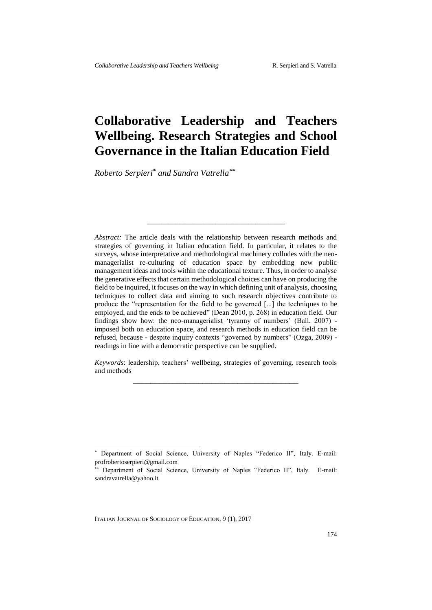# **Collaborative Leadership and Teachers Wellbeing. Research Strategies and School Governance in the Italian Education Field**

*Roberto Serpieri\* and Sandra Vatrella\*\**

*Abstract:* The article deals with the relationship between research methods and strategies of governing in Italian education field. In particular, it relates to the surveys, whose interpretative and methodological machinery colludes with the neomanagerialist re-culturing of education space by embedding new public management ideas and tools within the educational texture. Thus, in order to analyse the generative effects that certain methodological choices can have on producing the field to be inquired, it focuses on the way in which defining unit of analysis, choosing techniques to collect data and aiming to such research objectives contribute to produce the "representation for the field to be governed [...] the techniques to be employed, and the ends to be achieved" (Dean 2010, p. 268) in education field. Our findings show how: the neo-managerialist 'tyranny of numbers' (Ball, 2007) imposed both on education space, and research methods in education field can be refused, because - despite inquiry contexts "governed by numbers" (Ozga, 2009) readings in line with a democratic perspective can be supplied.

*\_\_\_\_\_\_\_\_\_\_\_\_\_\_\_\_\_\_\_\_\_\_\_\_\_\_\_\_\_\_\_\_\_\_\_\_\_\_*

*Keywords*: leadership, teachers' wellbeing, strategies of governing, research tools and methods \_\_\_\_\_\_\_\_\_\_\_\_\_\_\_\_\_\_\_\_\_\_\_\_\_\_\_\_\_\_\_\_\_\_\_\_\_\_

ITALIAN JOURNAL OF SOCIOLOGY OF EDUCATION, 9 (1), 2017

 $\overline{a}$ 

Department of Social Science, University of Naples "Federico II", Italy. E-mail: profrobertoserpieri@gmail.com

Department of Social Science, University of Naples "Federico II", Italy. E-mail: sandravatrella@yahoo.it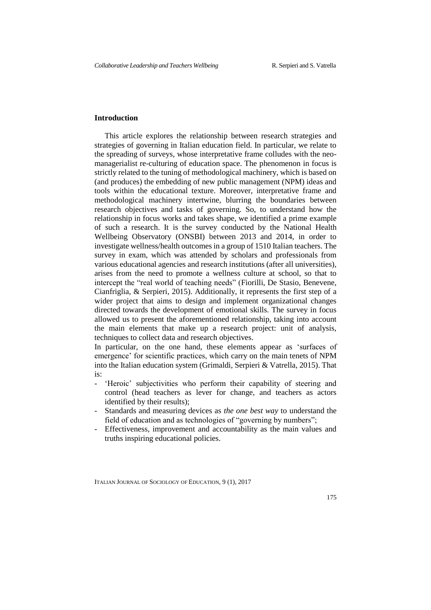## **Introduction**

This article explores the relationship between research strategies and strategies of governing in Italian education field. In particular, we relate to the spreading of surveys, whose interpretative frame colludes with the neomanagerialist re-culturing of education space. The phenomenon in focus is strictly related to the tuning of methodological machinery, which is based on (and produces) the embedding of new public management (NPM) ideas and tools within the educational texture. Moreover, interpretative frame and methodological machinery intertwine, blurring the boundaries between research objectives and tasks of governing. So, to understand how the relationship in focus works and takes shape, we identified a prime example of such a research. It is the survey conducted by the National Health Wellbeing Observatory (ONSBI) between 2013 and 2014, in order to investigate wellness/health outcomes in a group of 1510 Italian teachers. The survey in exam, which was attended by scholars and professionals from various educational agencies and research institutions (after all universities), arises from the need to promote a wellness culture at school, so that to intercept the "real world of teaching needs" (Fiorilli, De Stasio, Benevene, Cianfriglia, & Serpieri, 2015). Additionally, it represents the first step of a wider project that aims to design and implement organizational changes directed towards the development of emotional skills. The survey in focus allowed us to present the aforementioned relationship, taking into account the main elements that make up a research project: unit of analysis, techniques to collect data and research objectives.

In particular, on the one hand, these elements appear as 'surfaces of emergence' for scientific practices, which carry on the main tenets of NPM into the Italian education system (Grimaldi, Serpieri & Vatrella, 2015). That is:

- 'Heroic' subjectivities who perform their capability of steering and control (head teachers as lever for change, and teachers as actors identified by their results);
- Standards and measuring devices as *the one best way* to understand the field of education and as technologies of "governing by numbers";
- Effectiveness, improvement and accountability as the main values and truths inspiring educational policies.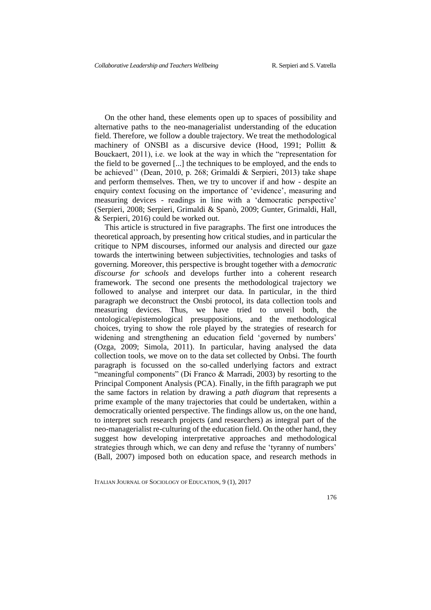On the other hand, these elements open up to spaces of possibility and alternative paths to the neo-managerialist understanding of the education field. Therefore, we follow a double trajectory. We treat the methodological machinery of ONSBI as a discursive device (Hood, 1991; Pollitt & Bouckaert, 2011), i.e. we look at the way in which the "representation for the field to be governed [...] the techniques to be employed, and the ends to be achieved'' (Dean, 2010, p. 268; Grimaldi & Serpieri, 2013) take shape and perform themselves. Then, we try to uncover if and how - despite an enquiry context focusing on the importance of 'evidence', measuring and measuring devices - readings in line with a 'democratic perspective' (Serpieri, 2008; Serpieri, Grimaldi & Spanò, 2009; Gunter, Grimaldi, Hall, & Serpieri, 2016) could be worked out.

This article is structured in five paragraphs. The first one introduces the theoretical approach, by presenting how critical studies, and in particular the critique to NPM discourses, informed our analysis and directed our gaze towards the intertwining between subjectivities, technologies and tasks of governing. Moreover, this perspective is brought together with a *democratic discourse for schools* and develops further into a coherent research framework. The second one presents the methodological trajectory we followed to analyse and interpret our data. In particular, in the third paragraph we deconstruct the Onsbi protocol, its data collection tools and measuring devices. Thus, we have tried to unveil both, the ontological/epistemological presuppositions, and the methodological choices, trying to show the role played by the strategies of research for widening and strengthening an education field 'governed by numbers' (Ozga, 2009; Simola, 2011). In particular, having analysed the data collection tools, we move on to the data set collected by Onbsi. The fourth paragraph is focussed on the so-called underlying factors and extract "meaningful components" (Di Franco & Marradi, 2003) by resorting to the Principal Component Analysis (PCA). Finally, in the fifth paragraph we put the same factors in relation by drawing a *path diagram* that represents a prime example of the many trajectories that could be undertaken, within a democratically oriented perspective. The findings allow us, on the one hand, to interpret such research projects (and researchers) as integral part of the neo-managerialist re-culturing of the education field. On the other hand, they suggest how developing interpretative approaches and methodological strategies through which, we can deny and refuse the 'tyranny of numbers' (Ball, 2007) imposed both on education space, and research methods in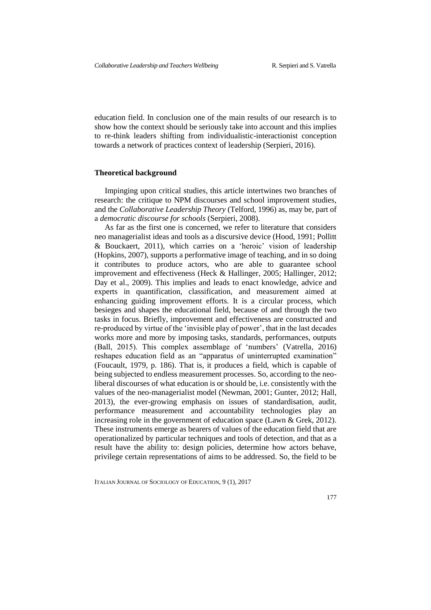education field. In conclusion one of the main results of our research is to show how the context should be seriously take into account and this implies to re-think leaders shifting from individualistic-interactionist conception towards a network of practices context of leadership (Serpieri, 2016).

### **Theoretical background**

Impinging upon critical studies, this article intertwines two branches of research: the critique to NPM discourses and school improvement studies, and the *Collaborative Leadership Theory* (Telford, 1996) as, may be, part of a *democratic discourse for schools* (Serpieri, 2008).

As far as the first one is concerned, we refer to literature that considers neo managerialist ideas and tools as a discursive device (Hood, 1991; Pollitt & Bouckaert, 2011), which carries on a 'heroic' vision of leadership (Hopkins, 2007), supports a performative image of teaching, and in so doing it contributes to produce actors, who are able to guarantee school improvement and effectiveness (Heck & Hallinger, 2005; Hallinger, 2012; Day et al., 2009). This implies and leads to enact knowledge, advice and experts in quantification, classification, and measurement aimed at enhancing guiding improvement efforts. It is a circular process, which besieges and shapes the educational field, because of and through the two tasks in focus. Briefly, improvement and effectiveness are constructed and re-produced by virtue of the 'invisible play of power', that in the last decades works more and more by imposing tasks, standards, performances, outputs (Ball, 2015). This complex assemblage of 'numbers' (Vatrella, 2016) reshapes education field as an "apparatus of uninterrupted examination" (Foucault, 1979, p. 186). That is, it produces a field, which is capable of being subjected to endless measurement processes. So, according to the neoliberal discourses of what education is or should be, i.e. consistently with the values of the neo-managerialist model (Newman, 2001; Gunter, 2012; Hall, 2013), the ever-growing emphasis on issues of standardisation, audit, performance measurement and accountability technologies play an increasing role in the government of education space (Lawn & Grek, 2012). These instruments emerge as bearers of values of the education field that are operationalized by particular techniques and tools of detection, and that as a result have the ability to: design policies, determine how actors behave, privilege certain representations of aims to be addressed. So, the field to be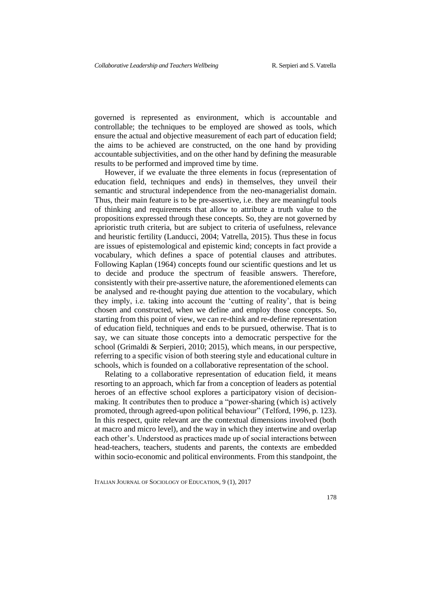governed is represented as environment, which is accountable and controllable; the techniques to be employed are showed as tools, which ensure the actual and objective measurement of each part of education field; the aims to be achieved are constructed, on the one hand by providing accountable subjectivities, and on the other hand by defining the measurable results to be performed and improved time by time.

However, if we evaluate the three elements in focus (representation of education field, techniques and ends) in themselves, they unveil their semantic and structural independence from the neo-managerialist domain. Thus, their main feature is to be pre-assertive, i.e. they are meaningful tools of thinking and requirements that allow to attribute a truth value to the propositions expressed through these concepts. So, they are not governed by aprioristic truth criteria, but are subject to criteria of usefulness, relevance and heuristic fertility (Landucci, 2004; Vatrella, 2015). Thus these in focus are issues of epistemological and epistemic kind; concepts in fact provide a vocabulary, which defines a space of potential clauses and attributes. Following Kaplan (1964) concepts found our scientific questions and let us to decide and produce the spectrum of feasible answers. Therefore, consistently with their pre-assertive nature, the aforementioned elements can be analysed and re-thought paying due attention to the vocabulary, which they imply, i.e. taking into account the 'cutting of reality', that is being chosen and constructed, when we define and employ those concepts. So, starting from this point of view, we can re-think and re-define representation of education field, techniques and ends to be pursued, otherwise. That is to say, we can situate those concepts into a democratic perspective for the school (Grimaldi & Serpieri, 2010; 2015), which means, in our perspective, referring to a specific vision of both steering style and educational culture in schools, which is founded on a collaborative representation of the school.

Relating to a collaborative representation of education field, it means resorting to an approach, which far from a conception of leaders as potential heroes of an effective school explores a participatory vision of decisionmaking. It contributes then to produce a "power-sharing (which is) actively promoted, through agreed-upon political behaviour" (Telford, 1996, p. 123). In this respect, quite relevant are the contextual dimensions involved (both at macro and micro level), and the way in which they intertwine and overlap each other's. Understood as practices made up of social interactions between head-teachers, teachers, students and parents, the contexts are embedded within socio-economic and political environments. From this standpoint, the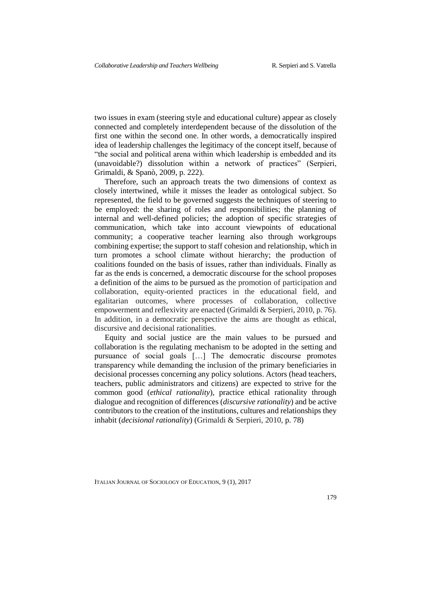two issues in exam (steering style and educational culture) appear as closely connected and completely interdependent because of the dissolution of the first one within the second one. In other words, a democratically inspired idea of leadership challenges the legitimacy of the concept itself, because of "the social and political arena within which leadership is embedded and its (unavoidable?) dissolution within a network of practices" (Serpieri, Grimaldi, & Spanò, 2009, p. 222).

Therefore, such an approach treats the two dimensions of context as closely intertwined, while it misses the leader as ontological subject. So represented, the field to be governed suggests the techniques of steering to be employed: the sharing of roles and responsibilities; the planning of internal and well-defined policies; the adoption of specific strategies of communication, which take into account viewpoints of educational community; a cooperative teacher learning also through workgroups combining expertise; the support to staff cohesion and relationship, which in turn promotes a school climate without hierarchy; the production of coalitions founded on the basis of issues, rather than individuals. Finally as far as the ends is concerned, a democratic discourse for the school proposes a definition of the aims to be pursued as the promotion of participation and collaboration, equity-oriented practices in the educational field, and egalitarian outcomes, where processes of collaboration, collective empowerment and reflexivity are enacted (Grimaldi & Serpieri, 2010, p. 76). In addition, in a democratic perspective the aims are thought as ethical, discursive and decisional rationalities.

Equity and social justice are the main values to be pursued and collaboration is the regulating mechanism to be adopted in the setting and pursuance of social goals […] The democratic discourse promotes transparency while demanding the inclusion of the primary beneficiaries in decisional processes concerning any policy solutions. Actors (head teachers, teachers, public administrators and citizens) are expected to strive for the common good (*ethical rationality*), practice ethical rationality through dialogue and recognition of differences (*discursive rationality*) and be active contributors to the creation of the institutions, cultures and relationships they inhabit (*decisional rationality*) (Grimaldi & Serpieri, 2010, p. 78)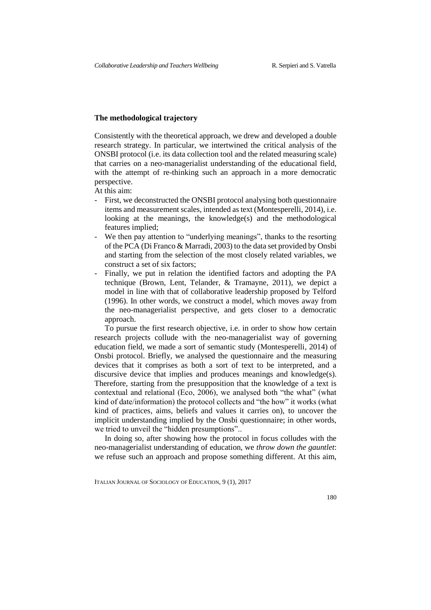## **The methodological trajectory**

Consistently with the theoretical approach, we drew and developed a double research strategy. In particular, we intertwined the critical analysis of the ONSBI protocol (i.e. its data collection tool and the related measuring scale) that carries on a neo-managerialist understanding of the educational field, with the attempt of re-thinking such an approach in a more democratic perspective.

At this aim:

- First, we deconstructed the ONSBI protocol analysing both questionnaire items and measurement scales, intended as text (Montesperelli, 2014), i.e. looking at the meanings, the knowledge(s) and the methodological features implied;
- We then pay attention to "underlying meanings", thanks to the resorting of the PCA (Di Franco & Marradi, 2003) to the data set provided by Onsbi and starting from the selection of the most closely related variables, we construct a set of six factors;
- Finally, we put in relation the identified factors and adopting the PA technique (Brown, Lent, Telander, & Tramayne, 2011), we depict a model in line with that of collaborative leadership proposed by Telford (1996). In other words, we construct a model, which moves away from the neo-managerialist perspective, and gets closer to a democratic approach.

To pursue the first research objective, i.e. in order to show how certain research projects collude with the neo-managerialist way of governing education field, we made a sort of semantic study (Montesperelli, 2014) of Onsbi protocol. Briefly, we analysed the questionnaire and the measuring devices that it comprises as both a sort of text to be interpreted, and a discursive device that implies and produces meanings and knowledge(s). Therefore, starting from the presupposition that the knowledge of a text is contextual and relational (Eco, 2006), we analysed both "the what" (what kind of date/information) the protocol collects and "the how" it works (what kind of practices, aims, beliefs and values it carries on), to uncover the implicit understanding implied by the Onsbi questionnaire; in other words, we tried to unveil the "hidden presumptions"..

In doing so, after showing how the protocol in focus colludes with the neo-managerialist understanding of education, we *throw down the gauntlet*: we refuse such an approach and propose something different. At this aim,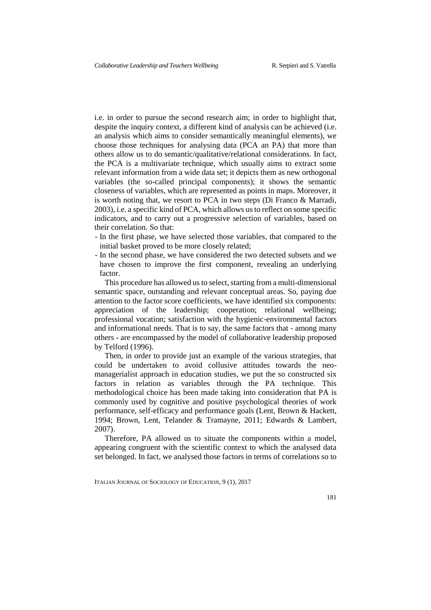i.e. in order to pursue the second research aim; in order to highlight that, despite the inquiry context, a different kind of analysis can be achieved (i.e. an analysis which aims to consider semantically meaningful elements), we choose those techniques for analysing data (PCA an PA) that more than others allow us to do semantic/qualitative/relational considerations. In fact, the PCA is a multivariate technique, which usually aims to extract some relevant information from a wide data set; it depicts them as new orthogonal variables (the so-called principal components); it shows the semantic closeness of variables, which are represented as points in maps. Moreover, it is worth noting that, we resort to PCA in two steps (Di Franco & Marradi, 2003), i.e. a specific kind of PCA, which allows us to reflect on some specific indicators, and to carry out a progressive selection of variables, based on their correlation. So that:

- In the first phase, we have selected those variables, that compared to the initial basket proved to be more closely related;
- In the second phase, we have considered the two detected subsets and we have chosen to improve the first component, revealing an underlying factor.

This procedure has allowed us to select, starting from a multi-dimensional semantic space, outstanding and relevant conceptual areas. So, paying due attention to the factor score coefficients, we have identified six components: appreciation of the leadership; cooperation; relational wellbeing; professional vocation; satisfaction with the hygienic-environmental factors and informational needs. That is to say, the same factors that - among many others - are encompassed by the model of collaborative leadership proposed by Telford (1996).

Then, in order to provide just an example of the various strategies, that could be undertaken to avoid collusive attitudes towards the neomanagerialist approach in education studies, we put the so constructed six factors in relation as variables through the PA technique. This methodological choice has been made taking into consideration that PA is commonly used by cognitive and positive psychological theories of work performance, self-efficacy and performance goals (Lent, Brown & Hackett, 1994; Brown, Lent, Telander & Tramayne, 2011; Edwards & Lambert, 2007).

Therefore, PA allowed us to situate the components within a model, appearing congruent with the scientific context to which the analysed data set belonged. In fact, we analysed those factors in terms of correlations so to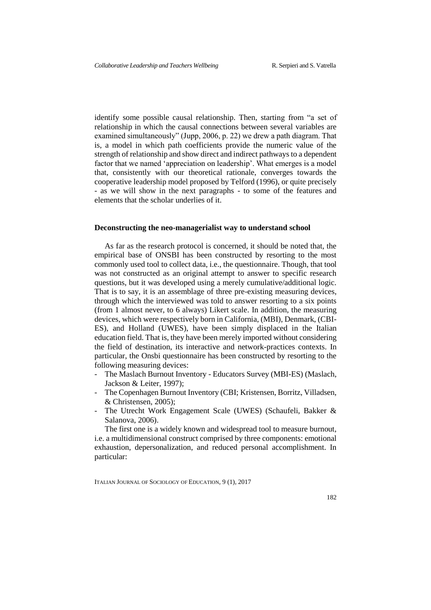identify some possible causal relationship. Then, starting from "a set of relationship in which the causal connections between several variables are examined simultaneously" (Jupp, 2006, p. 22) we drew a path diagram. That is, a model in which path coefficients provide the numeric value of the strength of relationship and show direct and indirect pathways to a dependent factor that we named 'appreciation on leadership'. What emerges is a model that, consistently with our theoretical rationale, converges towards the cooperative leadership model proposed by Telford (1996), or quite precisely - as we will show in the next paragraphs - to some of the features and elements that the scholar underlies of it.

#### **Deconstructing the neo-managerialist way to understand school**

As far as the research protocol is concerned, it should be noted that, the empirical base of ONSBI has been constructed by resorting to the most commonly used tool to collect data, i.e., the questionnaire. Though, that tool was not constructed as an original attempt to answer to specific research questions, but it was developed using a merely cumulative/additional logic. That is to say, it is an assemblage of three pre-existing measuring devices, through which the interviewed was told to answer resorting to a six points (from 1 almost never, to 6 always) Likert scale*.* In addition, the measuring devices, which were respectively born in California, (MBI), Denmark, (CBI-ES), and Holland (UWES), have been simply displaced in the Italian education field. That is, they have been merely imported without considering the field of destination, its interactive and network-practices contexts. In particular, the Onsbi questionnaire has been constructed by resorting to the following measuring devices:

- The Maslach Burnout Inventory Educators Survey (MBI-ES) (Maslach, Jackson & Leiter, 1997);
- The Copenhagen Burnout Inventory (CBI; Kristensen, Borritz, Villadsen, & Christensen, 2005);
- The Utrecht Work Engagement Scale (UWES) (Schaufeli, Bakker & Salanova, 2006).

The first one is a widely known and widespread tool to measure burnout, i.e. a multidimensional construct comprised by three components: emotional exhaustion, depersonalization, and reduced personal accomplishment. In particular: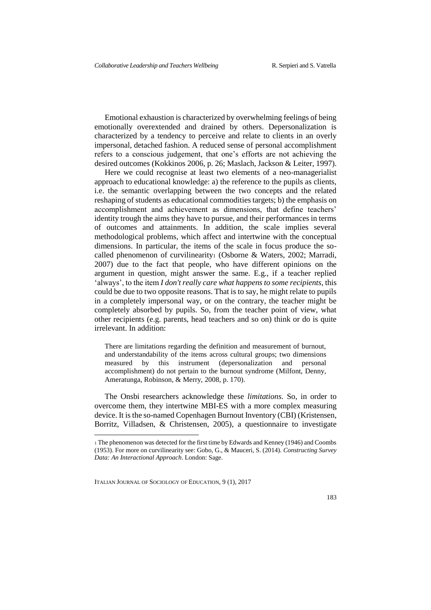Emotional exhaustion is characterized by overwhelming feelings of being emotionally overextended and drained by others. Depersonalization is characterized by a tendency to perceive and relate to clients in an overly impersonal, detached fashion. A reduced sense of personal accomplishment refers to a conscious judgement, that one's efforts are not achieving the desired outcomes (Kokkinos 2006, p. 26; Maslach, Jackson & Leiter, 1997).

Here we could recognise at least two elements of a neo-managerialist approach to educational knowledge: a) the reference to the pupils as clients, i.e. the semantic overlapping between the two concepts and the related reshaping of students as educational commodities targets; b) the emphasis on accomplishment and achievement as dimensions, that define teachers' identity trough the aims they have to pursue, and their performances in terms of outcomes and attainments. In addition, the scale implies several methodological problems, which affect and intertwine with the conceptual dimensions. In particular, the items of the scale in focus produce the socalled phenomenon of curvilinearity<sub>1</sub> (Osborne & Waters, 2002; Marradi, 2007) due to the fact that people, who have different opinions on the argument in question, might answer the same. E.g., if a teacher replied 'always', to the item *I don't really care what happens to some recipients*, this could be due to two opposite reasons. That is to say, he might relate to pupils in a completely impersonal way, or on the contrary, the teacher might be completely absorbed by pupils. So, from the teacher point of view, what other recipients (e.g. parents, head teachers and so on) think or do is quite irrelevant. In addition:

There are limitations regarding the definition and measurement of burnout, and understandability of the items across cultural groups; two dimensions measured by this instrument (depersonalization and personal accomplishment) do not pertain to the burnout syndrome (Milfont, Denny, Ameratunga, Robinson, & Merry, 2008, p. 170).

The Onsbi researchers acknowledge these *limitations*. So, in order to overcome them, they intertwine MBI-ES with a more complex measuring device. It is the so-named Copenhagen Burnout Inventory (CBI) (Kristensen, Borritz, Villadsen, & Christensen, 2005), a questionnaire to investigate

ITALIAN JOURNAL OF SOCIOLOGY OF EDUCATION, 9 (1), 2017

-

<sup>1</sup> The phenomenon was detected for the first time by Edwards and Kenney (1946) and Coombs (1953). For more on curvilinearity see: Gobo, G., & Mauceri, S. (2014). *Constructing Survey Data: An Interactional Approach*. London: Sage.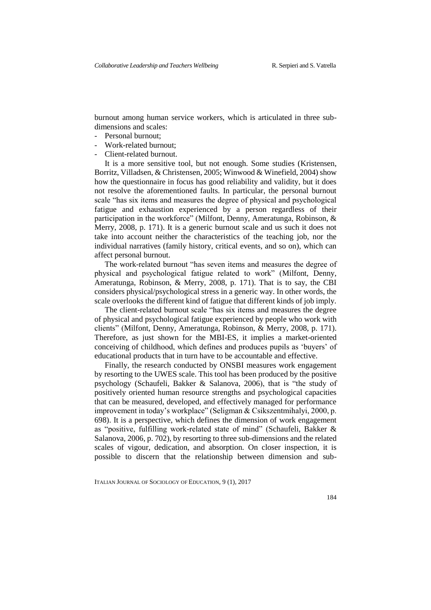burnout among human service workers, which is articulated in three subdimensions and scales:

- Personal burnout;
- Work-related burnout;
- Client-related burnout.

It is a more sensitive tool, but not enough. Some studies (Kristensen, Borritz, Villadsen, & Christensen, 2005; Winwood & Winefield, 2004) show how the questionnaire in focus has good reliability and validity, but it does not resolve the aforementioned faults. In particular, the personal burnout scale "has six items and measures the degree of physical and psychological fatigue and exhaustion experienced by a person regardless of their participation in the workforce" (Milfont, Denny, Ameratunga, Robinson, & Merry, 2008, p. 171). It is a generic burnout scale and us such it does not take into account neither the characteristics of the teaching job, nor the individual narratives (family history, critical events, and so on), which can affect personal burnout.

The work-related burnout "has seven items and measures the degree of physical and psychological fatigue related to work" (Milfont, Denny, Ameratunga, Robinson, & Merry, 2008, p. 171). That is to say, the CBI considers physical/psychological stress in a generic way. In other words, the scale overlooks the different kind of fatigue that different kinds of job imply.

The client-related burnout scale "has six items and measures the degree of physical and psychological fatigue experienced by people who work with clients" (Milfont, Denny, Ameratunga, Robinson, & Merry, 2008, p. 171). Therefore, as just shown for the MBI-ES, it implies a market-oriented conceiving of childhood, which defines and produces pupils as 'buyers' of educational products that in turn have to be accountable and effective.

Finally, the research conducted by ONSBI measures work engagement by resorting to the UWES scale. This tool has been produced by the positive psychology (Schaufeli, Bakker & Salanova, 2006), that is "the study of positively oriented human resource strengths and psychological capacities that can be measured, developed, and effectively managed for performance improvement in today's workplace" (Seligman & Csikszentmihalyi, 2000, p. 698). It is a perspective, which defines the dimension of work engagement as "positive, fulfilling work-related state of mind" (Schaufeli, Bakker & Salanova, 2006, p. 702), by resorting to three sub-dimensions and the related scales of vigour, dedication, and absorption. On closer inspection, it is possible to discern that the relationship between dimension and sub-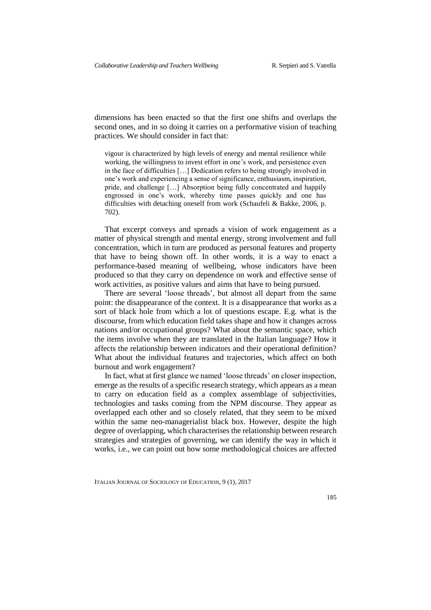dimensions has been enacted so that the first one shifts and overlaps the second ones, and in so doing it carries on a performative vision of teaching practices. We should consider in fact that:

vigour is characterized by high levels of energy and mental resilience while working, the willingness to invest effort in one's work, and persistence even in the face of difficulties […] Dedication refers to being strongly involved in one's work and experiencing a sense of significance, enthusiasm, inspiration, pride, and challenge […] Absorption being fully concentrated and happily engrossed in one's work, whereby time passes quickly and one has difficulties with detaching oneself from work (Schaufeli & Bakke, 2006, p. 702).

That excerpt conveys and spreads a vision of work engagement as a matter of physical strength and mental energy, strong involvement and full concentration, which in turn are produced as personal features and property that have to being shown off. In other words, it is a way to enact a performance-based meaning of wellbeing, whose indicators have been produced so that they carry on dependence on work and effective sense of work activities, as positive values and aims that have to being pursued.

There are several 'loose threads', but almost all depart from the same point: the disappearance of the context. It is a disappearance that works as a sort of black hole from which a lot of questions escape. E.g. what is the discourse, from which education field takes shape and how it changes across nations and/or occupational groups? What about the semantic space, which the items involve when they are translated in the Italian language? How it affects the relationship between indicators and their operational definition? What about the individual features and trajectories, which affect on both burnout and work engagement?

In fact, what at first glance we named 'loose threads' on closer inspection, emerge as the results of a specific research strategy, which appears as a mean to carry on education field as a complex assemblage of subjectivities, technologies and tasks coming from the NPM discourse. They appear as overlapped each other and so closely related, that they seem to be mixed within the same neo-managerialist black box. However, despite the high degree of overlapping, which characterises the relationship between research strategies and strategies of governing, we can identify the way in which it works, i.e., we can point out how some methodological choices are affected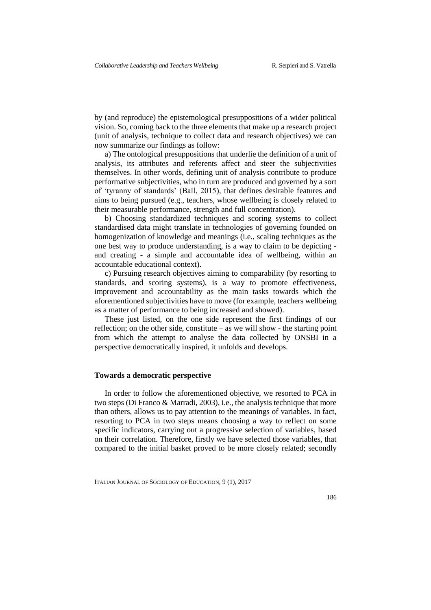by (and reproduce) the epistemological presuppositions of a wider political vision. So, coming back to the three elements that make up a research project (unit of analysis, technique to collect data and research objectives) we can now summarize our findings as follow:

a) The ontological presuppositions that underlie the definition of a unit of analysis, its attributes and referents affect and steer the subjectivities themselves. In other words, defining unit of analysis contribute to produce performative subjectivities, who in turn are produced and governed by a sort of 'tyranny of standards' (Ball, 2015), that defines desirable features and aims to being pursued (e.g., teachers, whose wellbeing is closely related to their measurable performance, strength and full concentration).

b) Choosing standardized techniques and scoring systems to collect standardised data might translate in technologies of governing founded on homogenization of knowledge and meanings (i.e., scaling techniques as the one best way to produce understanding, is a way to claim to be depicting and creating - a simple and accountable idea of wellbeing, within an accountable educational context).

c) Pursuing research objectives aiming to comparability (by resorting to standards, and scoring systems), is a way to promote effectiveness, improvement and accountability as the main tasks towards which the aforementioned subjectivities have to move (for example, teachers wellbeing as a matter of performance to being increased and showed).

These just listed, on the one side represent the first findings of our reflection; on the other side, constitute – as we will show - the starting point from which the attempt to analyse the data collected by ONSBI in a perspective democratically inspired, it unfolds and develops.

### **Towards a democratic perspective**

In order to follow the aforementioned objective, we resorted to PCA in two steps (Di Franco & Marradi, 2003), i.e., the analysis technique that more than others, allows us to pay attention to the meanings of variables. In fact, resorting to PCA in two steps means choosing a way to reflect on some specific indicators, carrying out a progressive selection of variables, based on their correlation. Therefore, firstly we have selected those variables, that compared to the initial basket proved to be more closely related; secondly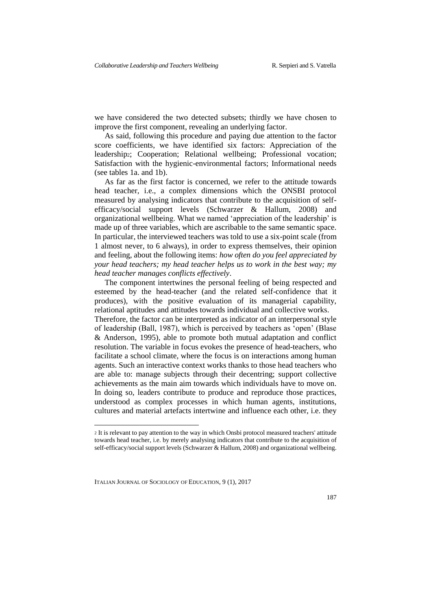we have considered the two detected subsets; thirdly we have chosen to improve the first component, revealing an underlying factor.

As said, following this procedure and paying due attention to the factor score coefficients, we have identified six factors: Appreciation of the leadership2; Cooperation; Relational wellbeing; Professional vocation; Satisfaction with the hygienic-environmental factors; Informational needs (see tables 1a. and 1b).

As far as the first factor is concerned, we refer to the attitude towards head teacher, i.e., a complex dimensions which the ONSBI protocol measured by analysing indicators that contribute to the acquisition of selfefficacy/social support levels (Schwarzer & Hallum, 2008) and organizational wellbeing. What we named 'appreciation of the leadership' is made up of three variables, which are ascribable to the same semantic space. In particular, the interviewed teachers was told to use a six-point scale (from 1 almost never, to 6 always), in order to express themselves, their opinion and feeling, about the following items: *how often do you feel appreciated by your head teachers; my head teacher helps us to work in the best way; my head teacher manages conflicts effectively*.

The component intertwines the personal feeling of being respected and esteemed by the head-teacher (and the related self-confidence that it produces), with the positive evaluation of its managerial capability, relational aptitudes and attitudes towards individual and collective works. Therefore, the factor can be interpreted as indicator of an interpersonal style of leadership (Ball, 1987), which is perceived by teachers as 'open' (Blase & Anderson, 1995), able to promote both mutual adaptation and conflict resolution. The variable in focus evokes the presence of head-teachers, who facilitate a school climate, where the focus is on interactions among human agents. Such an interactive context works thanks to those head teachers who are able to: manage subjects through their decentring; support collective achievements as the main aim towards which individuals have to move on. In doing so, leaders contribute to produce and reproduce those practices, understood as complex processes in which human agents, institutions, cultures and material artefacts intertwine and influence each other, i.e. they

ITALIAN JOURNAL OF SOCIOLOGY OF EDUCATION, 9 (1), 2017

<u>.</u>

<sup>2</sup> It is relevant to pay attention to the way in which Onsbi protocol measured teachers' attitude towards head teacher, i.e. by merely analysing indicators that contribute to the acquisition of self-efficacy/social support levels (Schwarzer & Hallum, 2008) and organizational wellbeing.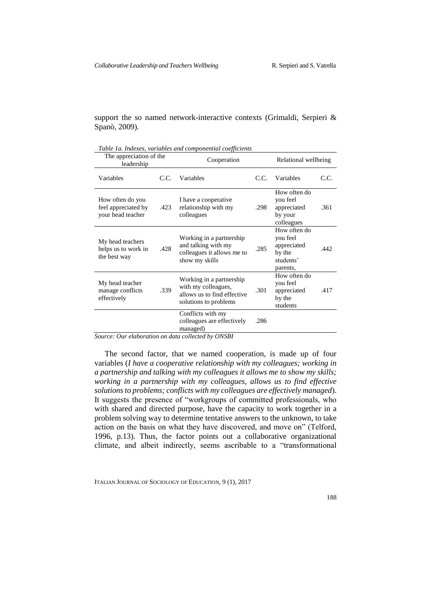support the so named network-interactive contexts (Grimaldi, Serpieri & Spanò, 2009).

*Table 1a. Indexes, variables and componential coefficients*

| The appreciation of the<br>leadership                        |      | Cooperation                                                                                             |      | Relational wellbeing                                                       |      |
|--------------------------------------------------------------|------|---------------------------------------------------------------------------------------------------------|------|----------------------------------------------------------------------------|------|
| Variables                                                    | C.C. | Variables                                                                                               | C.C. | Variables                                                                  | C.C. |
| How often do you<br>feel appreciated by<br>your head teacher | .423 | I have a cooperative<br>relationship with my<br>colleagues                                              | .298 | How often do<br>you feel<br>appreciated<br>by your<br>colleagues           | .361 |
| My head teachers<br>helps us to work in<br>the best way      | .428 | Working in a partnership<br>and talking with my<br>colleagues it allows me to<br>show my skills         | .285 | How often do<br>you feel<br>appreciated<br>by the<br>students'<br>parents, | .442 |
| My head teacher<br>manage conflicts<br>effectively           | .339 | Working in a partnership<br>with my colleagues,<br>allows us to find effective<br>solutions to problems | .301 | How often do<br>you feel<br>appreciated<br>by the<br>students              | .417 |
|                                                              |      | Conflicts with my<br>colleagues are effectively<br>managed)                                             | .286 |                                                                            |      |

*Source: Our elaboration on data collected by ONSBI*

The second factor, that we named cooperation, is made up of four variables (*I have a cooperative relationship with my colleagues; working in a partnership and talking with my colleagues it allows me to show my skills; working in a partnership with my colleagues, allows us to find effective solutions to problems; conflicts with my colleagues are effectively managed*). It suggests the presence of "workgroups of committed professionals, who with shared and directed purpose, have the capacity to work together in a problem solving way to determine tentative answers to the unknown, to take action on the basis on what they have discovered, and move on" (Telford, 1996, p.13). Thus, the factor points out a collaborative organizational climate, and albeit indirectly, seems ascribable to a "transformational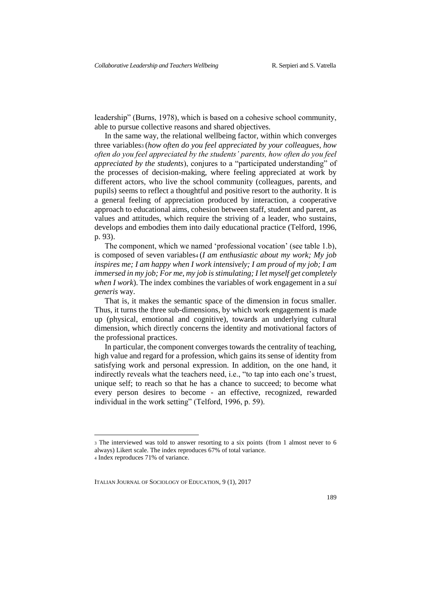leadership" (Burns, 1978), which is based on a cohesive school community, able to pursue collective reasons and shared objectives.

In the same way, the relational wellbeing factor, within which converges three variables<sup>3</sup> (*how often do you feel appreciated by your colleagues, how often do you feel appreciated by the students' parents, how often do you feel appreciated by the students*), conjures to a "participated understanding" of the processes of decision-making, where feeling appreciated at work by different actors, who live the school community (colleagues, parents, and pupils) seems to reflect a thoughtful and positive resort to the authority. It is a general feeling of appreciation produced by interaction, a cooperative approach to educational aims, cohesion between staff, student and parent, as values and attitudes, which require the striving of a leader, who sustains, develops and embodies them into daily educational practice (Telford, 1996, p. 93).

The component, which we named 'professional vocation' (see table 1.b), is composed of seven variables<sub>4</sub> (*I am enthusiastic about my work; My job inspires me; I am happy when I work intensively; I am proud of my job; I am immersed in my job; For me, my job is stimulating; I let myself get completely when I work*). The index combines the variables of work engagement in a *sui generis* way.

That is, it makes the semantic space of the dimension in focus smaller. Thus, it turns the three sub-dimensions, by which work engagement is made up (physical, emotional and cognitive), towards an underlying cultural dimension, which directly concerns the identity and motivational factors of the professional practices.

In particular, the component converges towards the centrality of teaching, high value and regard for a profession, which gains its sense of identity from satisfying work and personal expression. In addition, on the one hand, it indirectly reveals what the teachers need, i.e., "to tap into each one's truest, unique self; to reach so that he has a chance to succeed; to become what every person desires to become - an effective, recognized, rewarded individual in the work setting" (Telford, 1996, p. 59).

-

<sup>3</sup> The interviewed was told to answer resorting to a six points (from 1 almost never to 6 always) Likert scale. The index reproduces 67% of total variance.

<sup>4</sup> Index reproduces 71% of variance.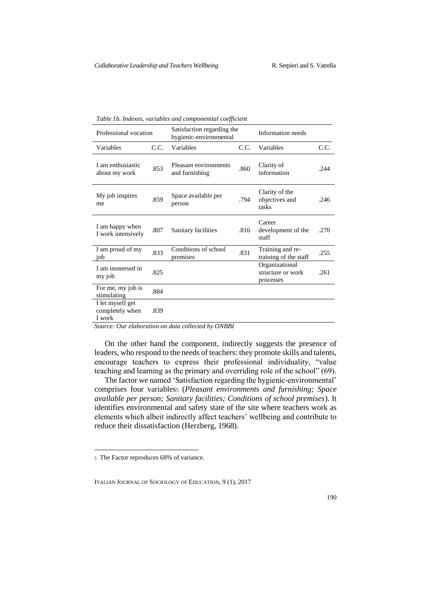| Professional vocation                         |      | Satisfaction regarding the<br>hygienic-environmental |      | Information needs                                |      |
|-----------------------------------------------|------|------------------------------------------------------|------|--------------------------------------------------|------|
| Variables                                     | C.C. | Variables                                            | C.C. | Variables                                        | C.C. |
| Lam enthusiastic<br>about my work             | .853 | Pleasant environments<br>and furnishing              | .860 | Clarity of<br>information                        | .244 |
| My job inspires<br>me                         | .859 | Space available per<br>person                        | .794 | Clarity of the<br>objectives and<br>tasks        | .246 |
| I am happy when<br>I work intensively         | .807 | Sanitary facilities                                  | .816 | Career<br>development of the<br>staff            | .270 |
| I am proud of my<br>job                       | .833 | Conditions of school<br>premises                     | .831 | Training and re-<br>training of the staff        | .255 |
| I am immersed in<br>my job                    | .825 |                                                      |      | Organizational<br>structure or work<br>processes | .261 |
| For me, my job is<br>stimulating              | .884 |                                                      |      |                                                  |      |
| I let myself get<br>completely when<br>I work | .839 |                                                      |      |                                                  |      |

*Table 1b. Indexes, variables and componential coefficient*

*Source: Our elaboration on data collected by ONBBI*

On the other hand the component, indirectly suggests the presence of leaders, who respond to the needs of teachers: they promote skills and talents, encourage teachers to express their professional individuality, "value teaching and learning as the primary and overriding role of the school" (69).

The factor we named 'Satisfaction regarding the hygienic-environmental' comprises four variabless (*Pleasant environments and furnishing*; *Space available per person; Sanitary facilities; Conditions of school premises*). It identifies environmental and safety state of the site where teachers work as elements which albeit indirectly affect teachers' wellbeing and contribute to reduce their dissatisfaction (Herzberg, 1968).

<u>.</u>

<sup>5</sup> The Factor reproduces 68% of variance.

ITALIAN JOURNAL OF SOCIOLOGY OF EDUCATION, 9 (1), 2017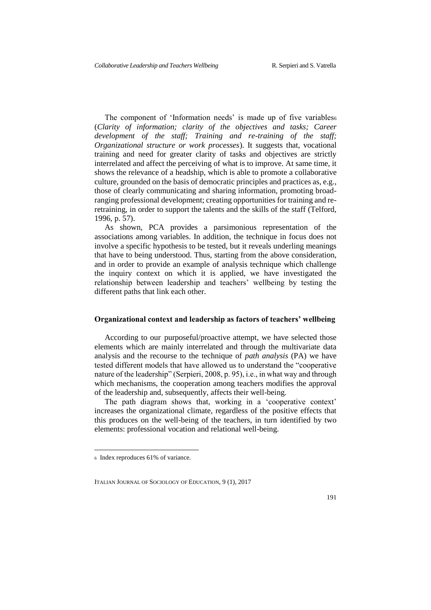The component of 'Information needs' is made up of five variables (*Clarity of information; clarity of the objectives and tasks; Career development of the staff; Training and re-training of the staff; Organizational structure or work processes*). It suggests that, vocational training and need for greater clarity of tasks and objectives are strictly interrelated and affect the perceiving of what is to improve. At same time, it shows the relevance of a headship, which is able to promote a collaborative culture, grounded on the basis of democratic principles and practices as, e.g., those of clearly communicating and sharing information, promoting broadranging professional development; creating opportunities for training and reretraining, in order to support the talents and the skills of the staff (Telford, 1996, p. 57).

As shown, PCA provides a parsimonious representation of the associations among variables. In addition, the technique in focus does not involve a specific hypothesis to be tested, but it reveals underling meanings that have to being understood. Thus, starting from the above consideration, and in order to provide an example of analysis technique which challenge the inquiry context on which it is applied, we have investigated the relationship between leadership and teachers' wellbeing by testing the different paths that link each other.

### **Organizational context and leadership as factors of teachers' wellbeing**

According to our purposeful/proactive attempt, we have selected those elements which are mainly interrelated and through the multivariate data analysis and the recourse to the technique of *path analysis* (PA) we have tested different models that have allowed us to understand the "cooperative nature of the leadership" (Serpieri, 2008, p. 95), i.e., in what way and through which mechanisms, the cooperation among teachers modifies the approval of the leadership and, subsequently, affects their well-being.

The path diagram shows that, working in a 'cooperative context' increases the organizational climate, regardless of the positive effects that this produces on the well-being of the teachers, in turn identified by two elements: professional vocation and relational well-being.

<u>.</u>

<sup>6</sup> Index reproduces 61% of variance.

ITALIAN JOURNAL OF SOCIOLOGY OF EDUCATION, 9 (1), 2017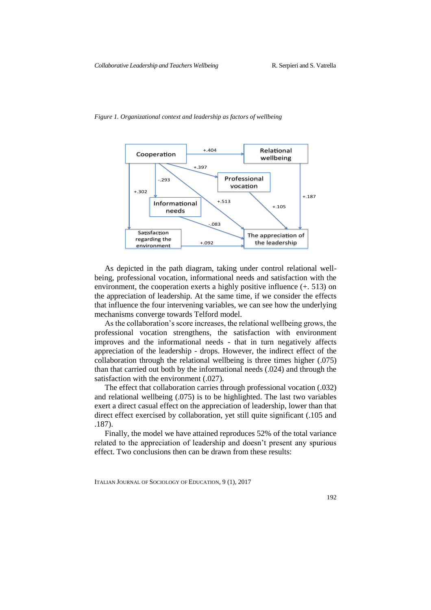

#### *Figure 1. Organizational context and leadership as factors of wellbeing*

As depicted in the path diagram, taking under control relational wellbeing, professional vocation, informational needs and satisfaction with the environment, the cooperation exerts a highly positive influence (+. 513) on the appreciation of leadership. At the same time, if we consider the effects that influence the four intervening variables, we can see how the underlying mechanisms converge towards Telford model.

As the collaboration's score increases, the relational wellbeing grows, the professional vocation strengthens, the satisfaction with environment improves and the informational needs - that in turn negatively affects appreciation of the leadership - drops. However, the indirect effect of the collaboration through the relational wellbeing is three times higher (.075) than that carried out both by the informational needs (.024) and through the satisfaction with the environment (.027).

The effect that collaboration carries through professional vocation (.032) and relational wellbeing (.075) is to be highlighted. The last two variables exert a direct casual effect on the appreciation of leadership, lower than that direct effect exercised by collaboration, yet still quite significant (.105 and .187).

Finally, the model we have attained reproduces 52% of the total variance related to the appreciation of leadership and doesn't present any spurious effect. Two conclusions then can be drawn from these results: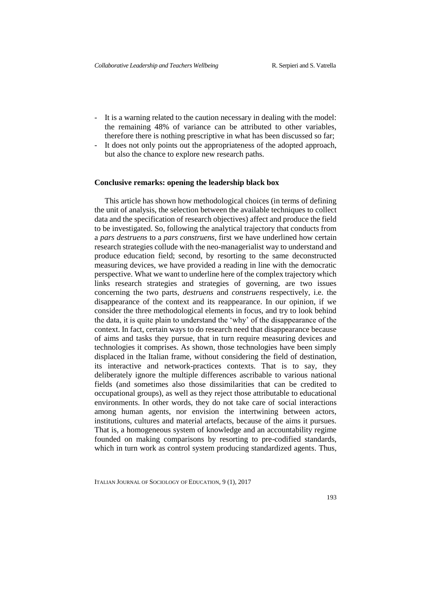- It is a warning related to the caution necessary in dealing with the model: the remaining 48% of variance can be attributed to other variables, therefore there is nothing prescriptive in what has been discussed so far;
- It does not only points out the appropriateness of the adopted approach, but also the chance to explore new research paths.

#### **Conclusive remarks: opening the leadership black box**

This article has shown how methodological choices (in terms of defining the unit of analysis, the selection between the available techniques to collect data and the specification of research objectives) affect and produce the field to be investigated. So, following the analytical trajectory that conducts from a *pars destruens* to a *pars construens,* first we have underlined how certain research strategies collude with the neo-managerialist way to understand and produce education field; second, by resorting to the same deconstructed measuring devices, we have provided a reading in line with the democratic perspective. What we want to underline here of the complex trajectory which links research strategies and strategies of governing, are two issues concerning the two parts, *destruens* and *construens* respectively, i.e. the disappearance of the context and its reappearance. In our opinion, if we consider the three methodological elements in focus, and try to look behind the data, it is quite plain to understand the 'why' of the disappearance of the context. In fact, certain ways to do research need that disappearance because of aims and tasks they pursue, that in turn require measuring devices and technologies it comprises. As shown, those technologies have been simply displaced in the Italian frame, without considering the field of destination, its interactive and network-practices contexts. That is to say, they deliberately ignore the multiple differences ascribable to various national fields (and sometimes also those dissimilarities that can be credited to occupational groups), as well as they reject those attributable to educational environments. In other words, they do not take care of social interactions among human agents, nor envision the intertwining between actors, institutions, cultures and material artefacts, because of the aims it pursues. That is, a homogeneous system of knowledge and an accountability regime founded on making comparisons by resorting to pre-codified standards, which in turn work as control system producing standardized agents. Thus,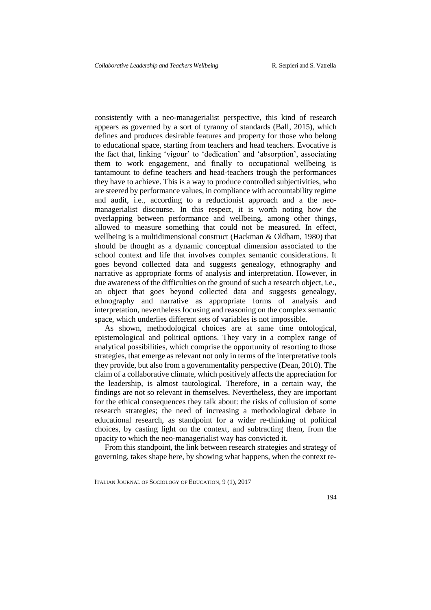consistently with a neo-managerialist perspective, this kind of research appears as governed by a sort of tyranny of standards (Ball, 2015), which defines and produces desirable features and property for those who belong to educational space, starting from teachers and head teachers. Evocative is the fact that, linking 'vigour' to 'dedication' and 'absorption', associating them to work engagement, and finally to occupational wellbeing is tantamount to define teachers and head-teachers trough the performances they have to achieve. This is a way to produce controlled subjectivities, who are steered by performance values, in compliance with accountability regime and audit, i.e., according to a reductionist approach and a the neomanagerialist discourse. In this respect, it is worth noting how the overlapping between performance and wellbeing, among other things, allowed to measure something that could not be measured. In effect, wellbeing is a multidimensional construct (Hackman & Oldham, 1980) that should be thought as a dynamic conceptual dimension associated to the school context and life that involves complex semantic considerations. It goes beyond collected data and suggests genealogy, ethnography and narrative as appropriate forms of analysis and interpretation. However, in due awareness of the difficulties on the ground of such a research object, i.e., an object that goes beyond collected data and suggests genealogy, ethnography and narrative as appropriate forms of analysis and interpretation, nevertheless focusing and reasoning on the complex semantic space, which underlies different sets of variables is not impossible.

As shown, methodological choices are at same time ontological, epistemological and political options. They vary in a complex range of analytical possibilities, which comprise the opportunity of resorting to those strategies, that emerge as relevant not only in terms of the interpretative tools they provide, but also from a governmentality perspective (Dean, 2010). The claim of a collaborative climate, which positively affects the appreciation for the leadership, is almost tautological. Therefore, in a certain way, the findings are not so relevant in themselves. Nevertheless, they are important for the ethical consequences they talk about: the risks of collusion of some research strategies; the need of increasing a methodological debate in educational research, as standpoint for a wider re-thinking of political choices, by casting light on the context, and subtracting them, from the opacity to which the neo-managerialist way has convicted it.

From this standpoint, the link between research strategies and strategy of governing, takes shape here, by showing what happens, when the context re-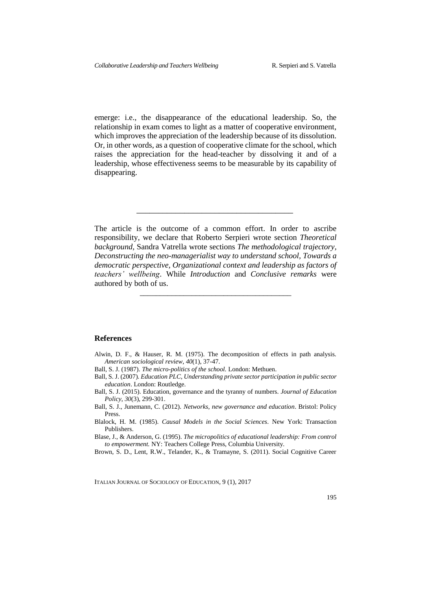emerge: i.e., the disappearance of the educational leadership. So, the relationship in exam comes to light as a matter of cooperative environment, which improves the appreciation of the leadership because of its dissolution. Or, in other words, as a question of cooperative climate for the school, which raises the appreciation for the head-teacher by dissolving it and of a leadership, whose effectiveness seems to be measurable by its capability of disappearing.

The article is the outcome of a common effort. In order to ascribe responsibility, we declare that Roberto Serpieri wrote section *Theoretical background*, Sandra Vatrella wrote sections *The methodological trajectory, Deconstructing the neo-managerialist way to understand school, Towards a democratic perspective, Organizational context and leadership as factors of teachers' wellbeing*. While *Introduction* and *Conclusive remarks* were authored by both of us.

\_\_\_\_\_\_\_\_\_\_\_\_\_\_\_\_\_\_\_\_\_\_\_\_\_\_\_\_\_\_\_\_\_\_\_\_\_\_

\_\_\_\_\_\_\_\_\_\_\_\_\_\_\_\_\_\_\_\_\_\_\_\_\_\_\_\_\_\_\_\_\_\_\_\_

### **References**

- Alwin, D. F., & Hauser, R. M. (1975). The decomposition of effects in path analysis. *American sociological review*, *40*(1), 37-47.
- Ball, S. J. (1987). *The micro-politics of the school.* London: Methuen.
- Ball, S. J. (2007)*. Education PLC, Understanding private sector participation in public sector education*. London: Routledge.
- Ball, S. J. (2015). Education, governance and the tyranny of numbers. *Journal of Education Policy*, *30*(3), 299-301.
- Ball, S. J., Junemann, C. (2012). *Networks, new governance and education*. Bristol: Policy Press.
- Blalock, H. M. (1985). *Causal Models in the Social Sciences*. New York: Transaction Publishers.

Blase, J., & Anderson, G. (1995). *The micropolitics of educational leadership: From control to empowerment.* NY: Teachers College Press, Columbia University.

Brown, S. D., Lent, R.W., Telander, K., & Tramayne, S. (2011). Social Cognitive Career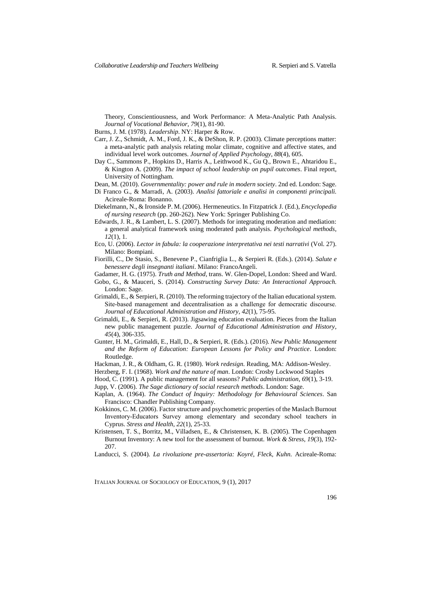Theory, Conscientiousness, and Work Performance: A Meta-Analytic Path Analysis. *Journal of Vocational Behavior, 79*(1), 81-90.

Burns, J. M. (1978). *Leadership*. NY: Harper & Row.

- Carr, J. Z., Schmidt, A. M., Ford, J. K., & DeShon, R. P. (2003). Climate perceptions matter: a meta-analytic path analysis relating molar climate, cognitive and affective states, and individual level work outcomes. *Journal of Applied Psychology*, *88*(4), 605.
- Day C., Sammons P., Hopkins D., Harris A., Leithwood K., Gu Q., Brown E., Ahtaridou E., & Kington A. (2009). *The impact of school leadership on pupil outcomes*. Final report, University of Nottingham.
- Dean, M. (2010). *Governmentality: power and rule in modern society*. 2nd ed. London: Sage.
- Di Franco G., & Marradi, A. (2003). *Analisi fattoriale e analisi in componenti principali.* Acireale-Roma: Bonanno.
- Diekelmann, N., & Ironside P. M. (2006). Hermeneutics. In Fitzpatrick J. (Ed.), *Encyclopedia of nursing research* (pp. 260-262). New York: Springer Publishing Co.
- Edwards, J. R., & Lambert, L. S. (2007). Methods for integrating moderation and mediation: a general analytical framework using moderated path analysis. *Psychological methods*, *12*(1), 1.
- Eco, U. (2006). *Lector in fabula: la cooperazione interpretativa nei testi narrativi* (Vol. 27). Milano: Bompiani.
- Fiorilli, C., De Stasio, S., Benevene P., Cianfriglia L., & Serpieri R. (Eds.). (2014). *Salute e benessere degli insegnanti italiani*. Milano: FrancoAngeli.
- Gadamer, H. G. (1975). *Truth and Method*, trans. W. Glen-Dopel, London: Sheed and Ward.
- Gobo, G., & Mauceri, S. (2014). *Constructing Survey Data: An Interactional Approach.* London: Sage.
- Grimaldi, E., & Serpieri, R. (2010). The reforming trajectory of the Italian educational system. Site-based management and decentralisation as a challenge for democratic discourse. *Journal of Educational Administration and History*, *42*(1), 75-95.
- Grimaldi, E., & Serpieri, R. (2013). Jigsawing education evaluation. Pieces from the Italian new public management puzzle. *Journal of Educational Administration and History*, *45*(4), 306-335.
- Gunter, H. M., Grimaldi, E., Hall, D., & Serpieri, R. (Eds.). (2016). *New Public Management and the Reform of Education: European Lessons for Policy and Practice*. London: Routledge.
- Hackman, J. R., & Oldham, G. R. (1980). *Work redesign*. Reading, MA: Addison-Wesley.
- Herzberg, F. I. (1968). *Work and the nature of man*. London: Crosby Lockwood Staples
- Hood, C. (1991). A public management for all seasons? *Public administration*, *69*(1), 3-19.
- Jupp, V. (2006). *The Sage dictionary of social research methods*. London: Sage.
- Kaplan, A. (1964). *The Conduct of Inquiry: Methodology for Behavioural Sciences*. San Francisco: Chandler Publishing Company.
- Kokkinos, C. M. (2006). Factor structure and psychometric properties of the Maslach Burnout Inventory‐Educators Survey among elementary and secondary school teachers in Cyprus. *Stress and Health*, *22*(1), 25-33.
- Kristensen, T. S., Borritz, M., Villadsen, E., & Christensen, K. B. (2005). The Copenhagen Burnout Inventory: A new tool for the assessment of burnout. *Work & Stress*, *19*(3), 192- 207.
- Landucci, S. (2004). *La rivoluzione pre-assertoria: Koyré, Fleck, Kuhn.* Acireale-Roma: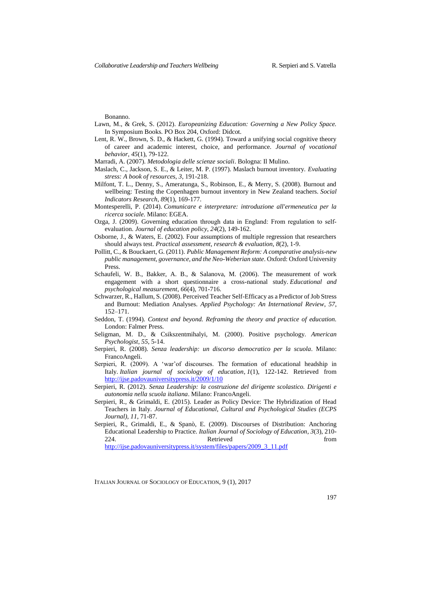Bonanno.

- Lawn, M., & Grek, S. (2012). *Europeanizing Education: Governing a New Policy Space.* In Symposium Books. PO Box 204, Oxford: Didcot.
- Lent, R. W., Brown, S. D., & Hackett, G. (1994). Toward a unifying social cognitive theory of career and academic interest, choice, and performance. *Journal of vocational behavior*, *45*(1), 79-122.
- Marradi, A. (2007). *Metodologia delle scienze sociali*. Bologna: Il Mulino.
- Maslach, C., Jackson, S. E., & Leiter, M. P. (1997). Maslach burnout inventory. *Evaluating stress: A book of resources*, *3*, 191-218.
- Milfont, T. L., Denny, S., Ameratunga, S., Robinson, E., & Merry, S. (2008). Burnout and wellbeing: Testing the Copenhagen burnout inventory in New Zealand teachers. *Social Indicators Research*, *89*(1), 169-177.
- Montesperelli, P. (2014). *Comunicare e interpretare: introduzione all'ermeneutica per la ricerca sociale*. Milano: EGEA.
- Ozga, J. (2009). Governing education through data in England: From regulation to selfevaluation. *Journal of education policy*, *24*(2), 149-162.
- Osborne, J., & Waters, E. (2002). Four assumptions of multiple regression that researchers should always test. *Practical assessment, research & evaluation*, *8*(2), 1-9.
- Pollitt, C., & Bouckaert, G. (2011). *Public Management Reform: A comparative analysis-new public management, governance, and the Neo-Weberian state*. Oxford: Oxford University Press.
- Schaufeli, W. B., Bakker, A. B., & Salanova, M. (2006). The measurement of work engagement with a short questionnaire a cross-national study. *Educational and psychological measurement*, *66*(4), 701-716.
- Schwarzer, R., Hallum, S. (2008). Perceived Teacher Self-Efficacy as a Predictor of Job Stress and Burnout: Mediation Analyses. *Applied Psychology: An International Review*, *57*, 152–171.
- Seddon, T. (1994). *Context and beyond. Reframing the theory and practice of education.* London: Falmer Press.
- Seligman, M. D., & Csikszentmihalyi, M. (2000). Positive psychology. *American Psychologist*, *55*, 5-14.
- Serpieri, R. (2008). *Senza leadership: un discorso democratico per la scuola*. Milano: FrancoAngeli.
- Serpieri, R. (2009). A 'war'of discourses. The formation of educational headship in Italy. *Italian journal of sociology of education*, *1*(1), 122-142. Retrieved from <http://ijse.padovauniversitypress.it/2009/1/10>
- Serpieri, R. (2012). *Senza Leadership: la costruzione del dirigente scolastico. Dirigenti e autonomia nella scuola italiana*. Milano: FrancoAngeli.
- Serpieri, R., & Grimaldi, E. (2015). Leader as Policy Device: The Hybridization of Head Teachers in Italy. *Journal of Educational, Cultural and Psychological Studies (ECPS Journal)*, *11*, 71-87.
- Serpieri, R., Grimaldi, E., & Spanò, E. (2009). Discourses of Distribution: Anchoring Educational Leadership to Practice. *Italian Journal of Sociology of Education*, *3*(3), 210- 224. Retrieved from [http://ijse.padovauniversitypress.it/system/files/papers/2009\\_3\\_11.pdf](http://ijse.padovauniversitypress.it/system/files/papers/2009_3_11.pdf)